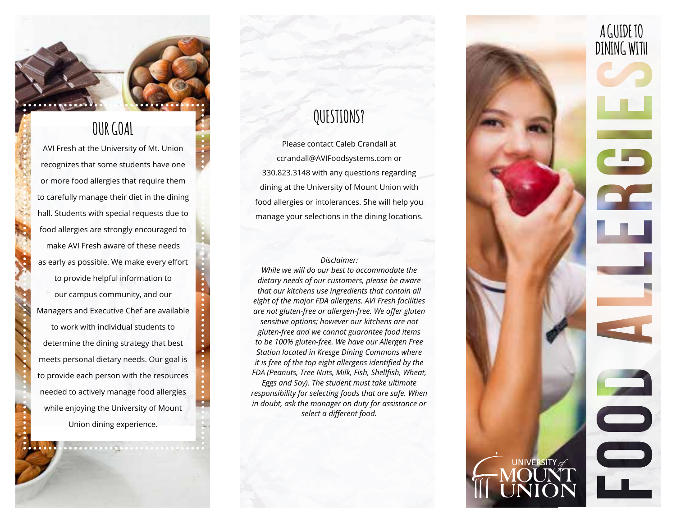

### **OUR GOAL**

AVI Fresh at the University of Mt. Union recognizes that some students have one or more food allergies that require them to carefully manage their diet in the dining hall. Students with special requests due to food allergies are strongly encouraged to make AVI Fresh aware of these needs as early as possible. We make every effort to provide helpful information to our campus community, and our Managers and Executive Chef are available to work with individual students to determine the dining strategy that best meets personal dietary needs. Our goal is to provide each person with the resources needed to actively manage food allergies while enjoying the University of Mount Union dining experience.

# **QUESTIONS?**

Please contact Caleb Crandall at ccrandall@AVIFoodsystems.com or 330.823.3148 with any questions regarding dining at the University of Mount Union with food allergies or intolerances. She will help you manage your selections in the dining locations.

#### *Disclaimer:*

*While we will do our best to accommodate the dietary needs of our customers, please be aware that our kitchens use ingredients that contain all eight of the major FDA allergens. AVI Fresh facilities are not gluten-free or allergen-free. We offer gluten sensitive options; however our kitchens are not gluten-free and we cannot guarantee food items to be 100% gluten-free. We have our Allergen Free Station located in Kresge Dining Commons where it is free of the top eight allergens identified by the FDA (Peanuts, Tree Nuts, Milk, Fish, Shellfish, Wheat, Eggs and Soy). The student must take ultimate responsibility for selecting foods that are safe. When in doubt, ask the manager on duty for assistance or select a different food.*